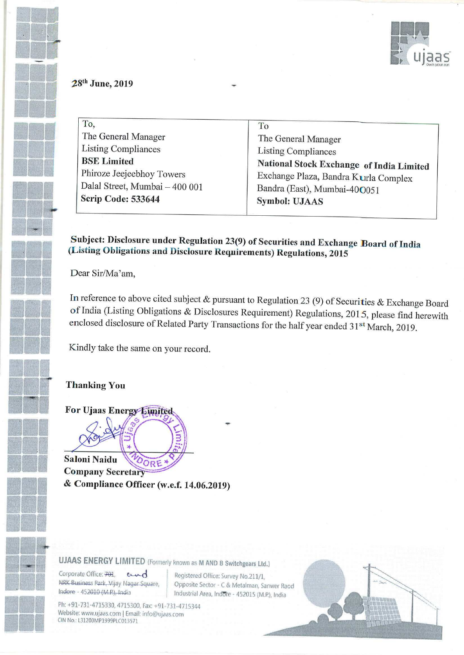

### 28<sup>th</sup> June, 2019

To, To The General Manager<br>
Listing Compliances<br>
Listing Compliances Listing Compliances Listing Compliances Phiroze Jeejeebhoy Towers Dalal Street, Mumbai — 400 001 Scrip Code: 533644

National Stock Exchange of India Limited Exchange Plaza, Bandra Kurla Complex Bandra (East), Mumbai-400051 Symbol: UJAAS

Subject: Disclosure under Regulation 23(9) of Securities and Exchange Board of India (Listing Obligations and Disclosure Requirements) Regulations, <sup>2015</sup>

Dear Sir/Ma'am,

In reference to above cited subject & pursuant to Regulation 23 (9) of Securities & Exchange Board of India (Listing Obligations & Disclosures Requirement) Regulations, 2015, please find herewith enclosed disclosure of Related Party Transactions for the half year ended 31<sup>st</sup> March, 2019.

Kindly take the same on your record.

#### **Thanking You**

For Ujaas Energy Limited

Saloni Naidu ORE **Company Secretary** & Compliance Officer (w.e.f. 14.06.2019)

### UJAAS ENERGY LIMITED (Formerly known as <sup>M</sup> AND <sup>B</sup> Switchgears Lid.)

NKK Business Park, Vijay Na<br>Indore - 452010 (M.P.), India Corporate Office: 701, and Registered Office: Survey No.211/1, NRK Business Park, Vijay Nagar Square,

l Opposite Sector - C & Metalman, Sanwer Raod<br>C Bedustriel Association - 453015 (U.S. Luis) Industrial Area. Indore - 452015 (M.P.), India

Ph: +91-731-4715330, 4715300, Fax: +91-731-4715344 Website: www.ujaas.com | Email: info@ujaas.com CIN No.: L31200MP1999PLC013571

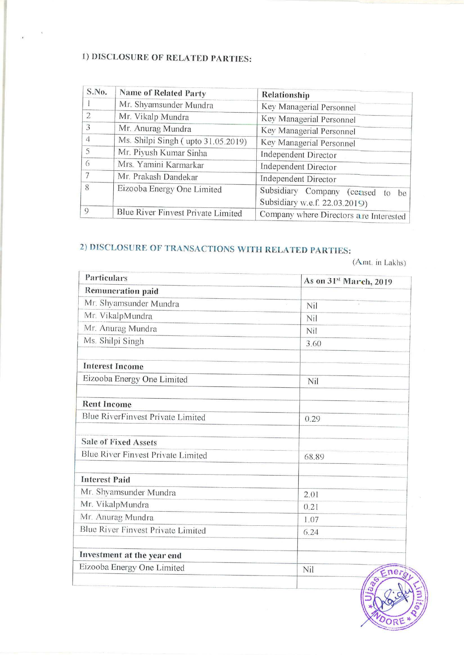## 1) DISCLOSURE OF RELATED PARTIES:

| S.No.          | <b>Name of Related Party</b>       | Relationship                                                            |
|----------------|------------------------------------|-------------------------------------------------------------------------|
|                | Mr. Shyamsunder Mundra             | Key Managerial Personnel                                                |
| 2              | Mr. Vikalp Mundra                  | Key Managerial Personnel                                                |
| 3              | Mr. Anurag Mundra                  | Key Managerial Personnel                                                |
| $\overline{4}$ | Ms. Shilpi Singh (upto 31.05.2019) | Key Managerial Personnel                                                |
| 5              | Mr. Piyush Kumar Sinha             | Independent Director                                                    |
| 6              | Mrs. Yamini Karmarkar              | Independent Director                                                    |
| 7              | Mr. Prakash Dandekar               | Independent Director                                                    |
| 8              | Eizooba Energy One Limited         | Subsidiary Company<br>(ceased<br>to be<br>Subsidiary w.e.f. 22.03.2019) |
| $\circ$        | Blue River Finvest Private Limited | Company where Directors are Interested                                  |

# 2) DISCLOSURE OF TRANSACTIONS WITH RELATED PARTIES:

(Amt. in Lakhs)

| Particulars                        | As on 31st March, 2019 |
|------------------------------------|------------------------|
| <b>Remuneration paid</b>           |                        |
| Mr. Shyamsunder Mundra             | Nil                    |
| Mr. VikalpMundra                   | Nil                    |
| Mr. Anurag Mundra                  | Nil                    |
| Ms. Shilpi Singh                   | 3.60                   |
| <b>Interest Income</b>             |                        |
| Eizooba Energy One Limited         | Nil                    |
| <b>Rent Income</b>                 |                        |
| Blue RiverFinvest Private Limited  | 0.29                   |
| <b>Sale of Fixed Assets</b>        |                        |
| Blue River Finvest Private Limited | 68.89                  |
| <b>Interest Paid</b>               |                        |
| Mr. Shyamsunder Mundra             | 2.01                   |
| Mr. VikalpMundra                   | 0.21                   |
| Mr. Anurag Mundra                  | 1.07                   |
| Blue River Finvest Private Limited | 6.24                   |
| Investment at the year end         |                        |
| Eizooba Energy One Limited         | Nil<br>Ener            |
|                                    | S<br>$\sigma$          |